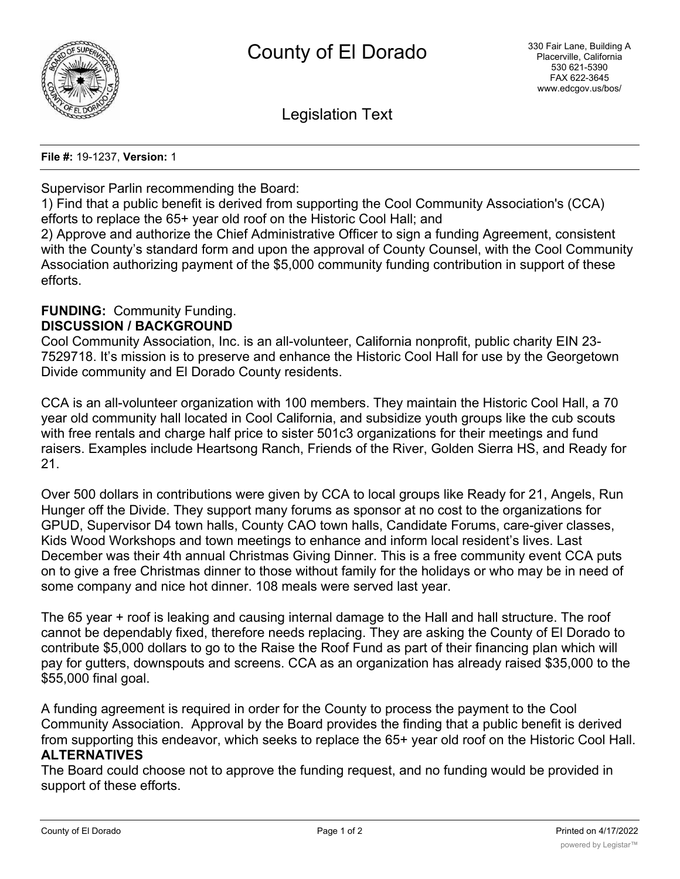

Legislation Text

**File #:** 19-1237, **Version:** 1

Supervisor Parlin recommending the Board:

1) Find that a public benefit is derived from supporting the Cool Community Association's (CCA) efforts to replace the 65+ year old roof on the Historic Cool Hall; and

2) Approve and authorize the Chief Administrative Officer to sign a funding Agreement, consistent with the County's standard form and upon the approval of County Counsel, with the Cool Community Association authorizing payment of the \$5,000 community funding contribution in support of these efforts.

#### **FUNDING:** Community Funding. **DISCUSSION / BACKGROUND**

Cool Community Association, Inc. is an all-volunteer, California nonprofit, public charity EIN 23- 7529718. It's mission is to preserve and enhance the Historic Cool Hall for use by the Georgetown Divide community and El Dorado County residents.

CCA is an all-volunteer organization with 100 members. They maintain the Historic Cool Hall, a 70 year old community hall located in Cool California, and subsidize youth groups like the cub scouts with free rentals and charge half price to sister 501c3 organizations for their meetings and fund raisers. Examples include Heartsong Ranch, Friends of the River, Golden Sierra HS, and Ready for 21.

Over 500 dollars in contributions were given by CCA to local groups like Ready for 21, Angels, Run Hunger off the Divide. They support many forums as sponsor at no cost to the organizations for GPUD, Supervisor D4 town halls, County CAO town halls, Candidate Forums, care-giver classes, Kids Wood Workshops and town meetings to enhance and inform local resident's lives. Last December was their 4th annual Christmas Giving Dinner. This is a free community event CCA puts on to give a free Christmas dinner to those without family for the holidays or who may be in need of some company and nice hot dinner. 108 meals were served last year.

The 65 year + roof is leaking and causing internal damage to the Hall and hall structure. The roof cannot be dependably fixed, therefore needs replacing. They are asking the County of El Dorado to contribute \$5,000 dollars to go to the Raise the Roof Fund as part of their financing plan which will pay for gutters, downspouts and screens. CCA as an organization has already raised \$35,000 to the \$55,000 final goal.

A funding agreement is required in order for the County to process the payment to the Cool Community Association. Approval by the Board provides the finding that a public benefit is derived from supporting this endeavor, which seeks to replace the 65+ year old roof on the Historic Cool Hall. **ALTERNATIVES**

The Board could choose not to approve the funding request, and no funding would be provided in support of these efforts.